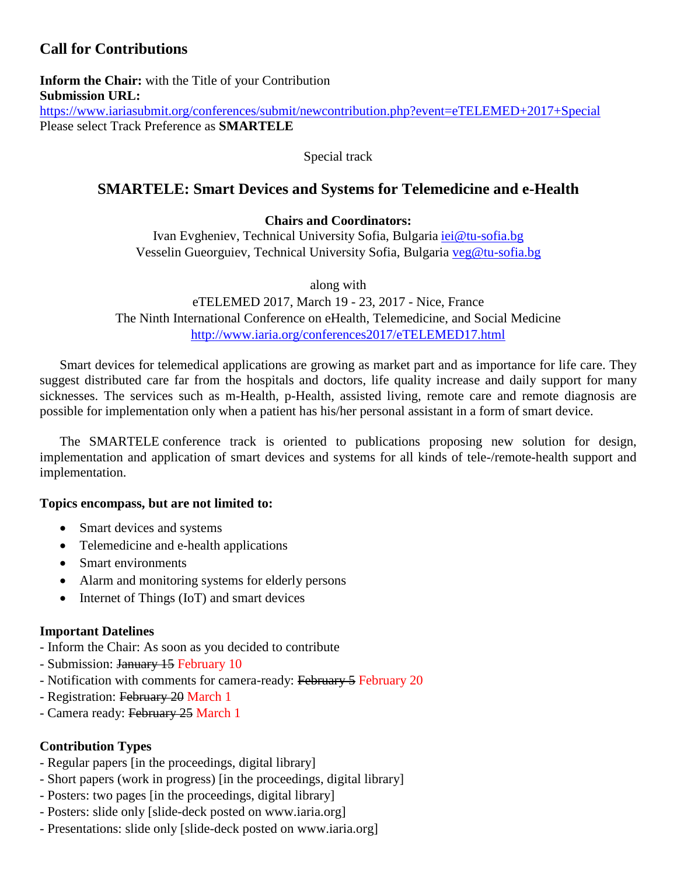# **Call for Contributions**

**Inform the Chair:** with the Title of your Contribution **Submission URL:** <https://www.iariasubmit.org/conferences/submit/newcontribution.php?event=eTELEMED+2017+Special> Please select Track Preference as **SMARTELE**

Special track

# **SMARTELE: Smart Devices and Systems for Telemedicine and e-Health**

# **Chairs and Coordinators:**

Ivan Evgheniev, Technical University Sofia, Bulgaria [iei@tu-sofia.bg](mailto:iei@tu-sofia.bg) Vesselin Gueorguiev, Technical University Sofia, Bulgaria [veg@tu-sofia.bg](mailto:veg@tu-sofia.bg)

along with

eTELEMED 2017, March 19 - 23, 2017 - Nice, France The Ninth International Conference on eHealth, Telemedicine, and Social Medicine <http://www.iaria.org/conferences2017/eTELEMED17.html>

Smart devices for telemedical applications are growing as market part and as importance for life care. They suggest distributed care far from the hospitals and doctors, life quality increase and daily support for many sicknesses. The services such as m-Health, p-Health, assisted living, remote care and remote diagnosis are possible for implementation only when a patient has his/her personal assistant in a form of smart device.

The SMARTELE conference track is oriented to publications proposing new solution for design, implementation and application of smart devices and systems for all kinds of tele-/remote-health support and implementation.

### **Topics encompass, but are not limited to:**

- Smart devices and systems
- Telemedicine and e-health applications
- Smart environments
- Alarm and monitoring systems for elderly persons
- Internet of Things (IoT) and smart devices

### **Important Datelines**

- Inform the Chair: As soon as you decided to contribute
- Submission: January 15 February 10
- Notification with comments for camera-ready: February 5 February 20
- Registration: February 20 March 1
- Camera ready: February 25 March 1

### **Contribution Types**

- Regular papers [in the proceedings, digital library]
- Short papers (work in progress) [in the proceedings, digital library]
- Posters: two pages [in the proceedings, digital library]
- Posters: slide only [slide-deck posted on www.iaria.org]
- Presentations: slide only [slide-deck posted on www.iaria.org]